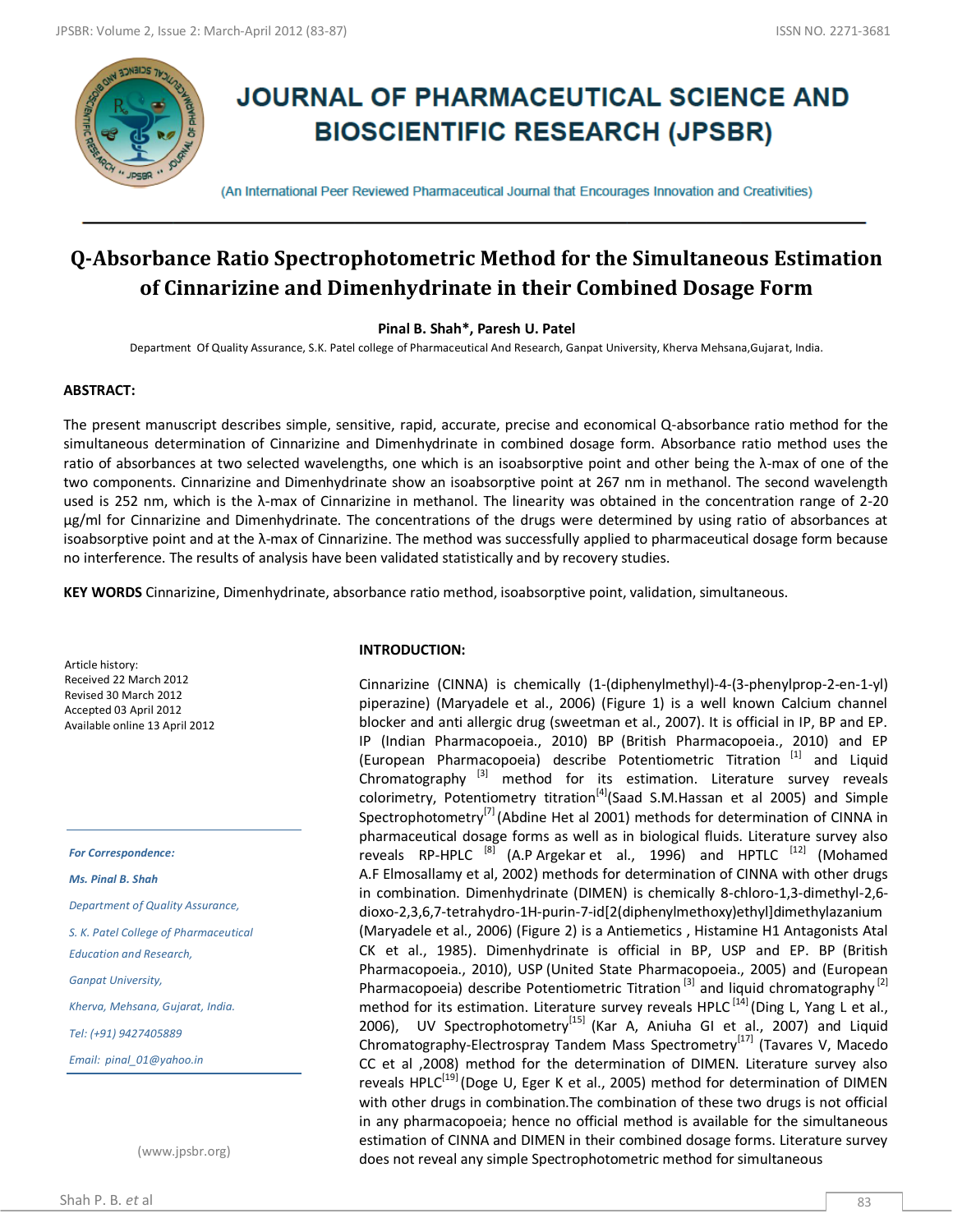

# **JOURNAL OF PHARMACEUTICAL SCIENCE AND BIOSCIENTIFIC RESEARCH (JPSBR)**

(An International Peer Reviewed Pharmaceutical Journal that Encourages Innovation and Creativities)

# **Q-Absorbance Ratio Spectrophotometric Method for the Simultaneous Estimation of Cinnarizine and Dimenhydrinate in their Combined Dosage Form**

# **Pinal B. Shah\*, Paresh U. Patel**

Department Of Quality Assurance, S.K. Patel college of Pharmaceutical And Research, Ganpat University, Kherva Mehsana,Gujarat, India.

# **ABSTRACT:**

The present manuscript describes simple, sensitive, rapid, accurate, precise and economical Q-absorbance ratio method for the simultaneous determination of Cinnarizine and Dimenhydrinate in combined dosage form. Absorbance ratio method uses the ratio of absorbances at two selected wavelengths, one which is an isoabsorptive point and other being the λ-max of one of the two components. Cinnarizine and Dimenhydrinate show an isoabsorptive point at 267 nm in methanol. The second wavelength used is 252 nm, which is the λ-max of Cinnarizine in methanol. The linearity was obtained in the concentration range of 2-20 μg/ml for Cinnarizine and Dimenhydrinate. The concentrations of the drugs were determined by using ratio of absorbances at isoabsorptive point and at the λ-max of Cinnarizine. The method was successfully applied to pharmaceutical dosage form because no interference. The results of analysis have been validated statistically and by recovery studies.

**KEY WORDS** Cinnarizine, Dimenhydrinate, absorbance ratio method, isoabsorptive point, validation, simultaneous.

Article history: Received 22 March 2012 Revised 30 March 2012 Accepted 03 April 2012 Available online 13 April 2012

*For Correspondence:*

*Ms. Pinal B. Shah*

*Department of Quality Assurance,* 

*S. K. Patel College of Pharmaceutical* 

*Education and Research,* 

*Ganpat University,*

*Kherva, Mehsana, Gujarat, India.*

*Tel: (+91) 9427405889*

*Email: pinal\_01@yahoo.in*

(www.jpsbr.org)

#### **INTRODUCTION:**

Cinnarizine (CINNA) is chemically (1-(diphenylmethyl)-4-(3-phenylprop-2-en-1-yl) piperazine) (Maryadele et al., 2006) (Figure 1) is a well known Calcium channel blocker and anti allergic drug (sweetman et al., 2007). It is official in IP, BP and EP. IP (Indian Pharmacopoeia., 2010) BP (British Pharmacopoeia., 2010) and EP (European Pharmacopoeia) describe Potentiometric Titration<sup>[1]</sup> and Liquid Chromatography  $^{[3]}$  method for its estimation. Literature survey reveals colorimetry, Potentiometry titration<sup>[4]</sup>(Saad S.M.Hassan et al 2005) and Simple Spectrophotometry<sup>[7]</sup> (Abdine Het al 2001) methods for determination of CINNA in pharmaceutical dosage forms as well as in biological fluids. Literature survey also reveals RP-HPLC<sup>[8]</sup> (A.P Argekar et al., 1996) and HPTLC<sup>[12]</sup> (Mohamed A.F Elmosallamy et al, 2002) methods for determination of CINNA with other drugs in combination. Dimenhydrinate (DIMEN) is chemically 8-chloro-1,3-dimethyl-2,6 dioxo-2,3,6,7-tetrahydro-1H-purin-7-id[2(diphenylmethoxy)ethyl]dimethylazanium (Maryadele et al., 2006) (Figure 2) is a Antiemetics , Histamine H1 Antagonists Atal CK et al., 1985). Dimenhydrinate is official in BP, USP and EP. BP (British Pharmacopoeia., 2010), USP (United State Pharmacopoeia., 2005) and (European Pharmacopoeia) describe Potentiometric Titration<sup>[3]</sup> and liquid chromatography<sup>[2]</sup> method for its estimation. Literature survey reveals HPLC  $^{[14]}$  (Ding L, Yang L et al., 2006), UV Spectrophotometry<sup>[15]</sup> (Kar A, Aniuha GI et al., 2007) and Liquid Chromatography-Electrospray Tandem Mass Spectrometry<sup>[17]</sup> (Tavares V, Macedo CC et al ,2008) method for the determination of DIMEN. Literature survey also reveals HPLC<sup>[19]</sup> (Doge U, Eger K et al., 2005) method for determination of DIMEN with other drugs in combination.The combination of these two drugs is not official in any pharmacopoeia; hence no official method is available for the simultaneous estimation of CINNA and DIMEN in their combined dosage forms. Literature survey does not reveal any simple Spectrophotometric method for simultaneous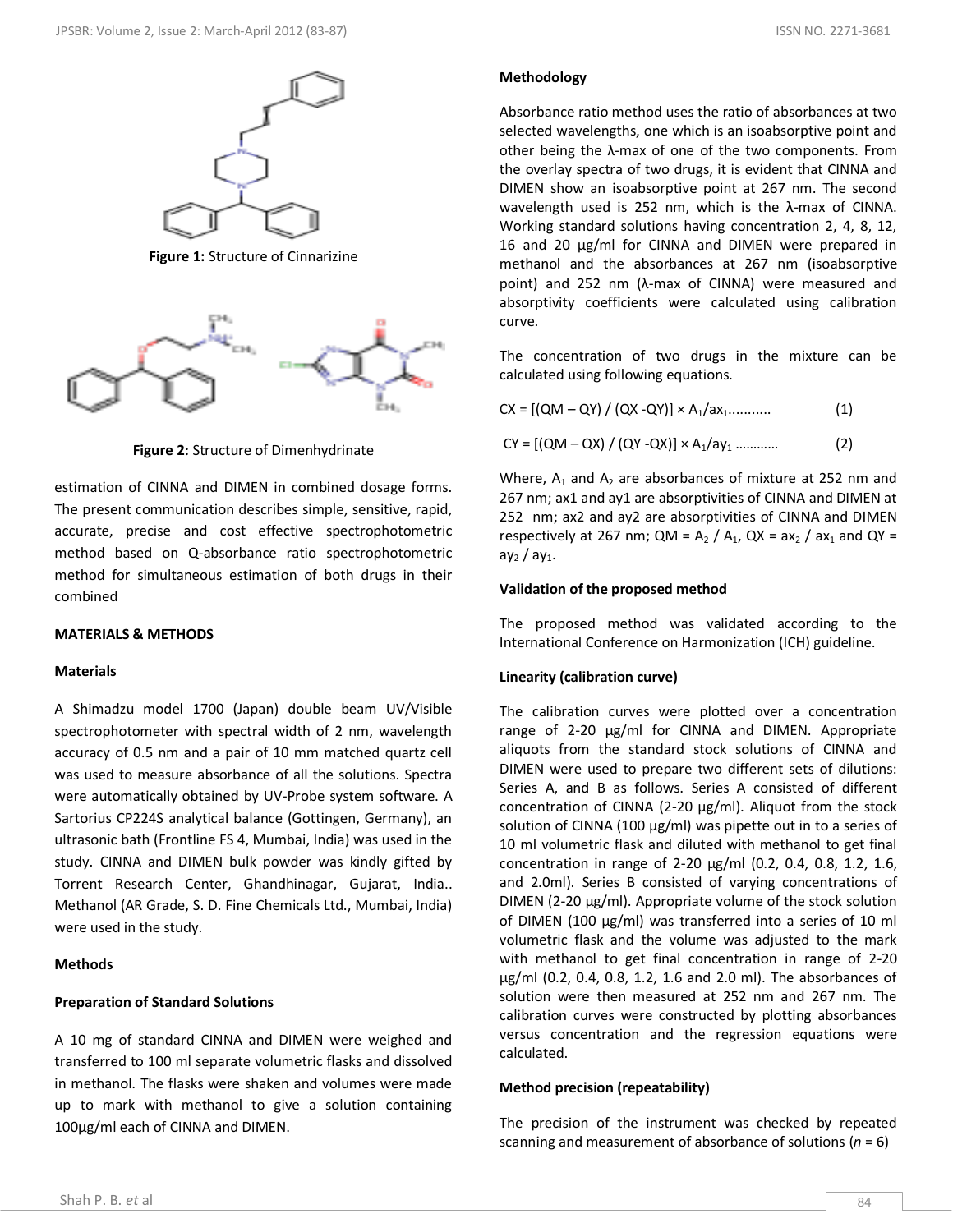**Figure 1:** Structure of Cinnarizine



**Figure 2:** Structure of Dimenhydrinate

estimation of CINNA and DIMEN in combined dosage forms. The present communication describes simple, sensitive, rapid, accurate, precise and cost effective spectrophotometric method based on Q-absorbance ratio spectrophotometric method for simultaneous estimation of both drugs in their combined

### **MATERIALS & METHODS**

#### **Materials**

A Shimadzu model 1700 (Japan) double beam UV/Visible spectrophotometer with spectral width of 2 nm, wavelength accuracy of 0.5 nm and a pair of 10 mm matched quartz cell was used to measure absorbance of all the solutions. Spectra were automatically obtained by UV-Probe system software. A Sartorius CP224S analytical balance (Gottingen, Germany), an ultrasonic bath (Frontline FS 4, Mumbai, India) was used in the study. CINNA and DIMEN bulk powder was kindly gifted by Torrent Research Center, Ghandhinagar, Gujarat, India.. Methanol (AR Grade, S. D. Fine Chemicals Ltd., Mumbai, India) were used in the study.

### **Methods**

#### **Preparation of Standard Solutions**

A 10 mg of standard CINNA and DIMEN were weighed and transferred to 100 ml separate volumetric flasks and dissolved in methanol. The flasks were shaken and volumes were made up to mark with methanol to give a solution containing 100μg/ml each of CINNA and DIMEN.

#### **Methodology**

Absorbance ratio method uses the ratio of absorbances at two selected wavelengths, one which is an isoabsorptive point and other being the λ-max of one of the two components. From the overlay spectra of two drugs, it is evident that CINNA and DIMEN show an isoabsorptive point at 267 nm. The second wavelength used is 252 nm, which is the λ-max of CINNA. Working standard solutions having concentration 2, 4, 8, 12, 16 and 20 μg/ml for CINNA and DIMEN were prepared in methanol and the absorbances at 267 nm (isoabsorptive point) and 252 nm (λ-max of CINNA) were measured and absorptivity coefficients were calculated using calibration curve.

The concentration of two drugs in the mixture can be calculated using following equations.

| $CX = [(QM - QY) / (QX - QY)] \times A_1 / ax_1$ |  |  |  |  |
|--------------------------------------------------|--|--|--|--|
|                                                  |  |  |  |  |

CY = [(QM – QX) / (QY -QX)] × A1/ay<sup>1</sup> ………… (2)

Where,  $A_1$  and  $A_2$  are absorbances of mixture at 252 nm and 267 nm; ax1 and ay1 are absorptivities of CINNA and DIMEN at 252 nm; ax2 and ay2 are absorptivities of CINNA and DIMEN respectively at 267 nm;  $QM = A_2 / A_1$ ,  $QX = ax_2 / ax_1$  and  $QY =$  $ay_2 / ay_1$ .

# **Validation of the proposed method**

The proposed method was validated according to the International Conference on Harmonization (ICH) guideline.

#### **Linearity (calibration curve)**

The calibration curves were plotted over a concentration range of 2-20 μg/ml for CINNA and DIMEN. Appropriate aliquots from the standard stock solutions of CINNA and DIMEN were used to prepare two different sets of dilutions: Series A, and B as follows. Series A consisted of different concentration of CINNA (2-20 μg/ml). Aliquot from the stock solution of CINNA (100 μg/ml) was pipette out in to a series of 10 ml volumetric flask and diluted with methanol to get final concentration in range of 2-20 μg/ml (0.2, 0.4, 0.8, 1.2, 1.6, and 2.0ml). Series B consisted of varying concentrations of DIMEN (2-20 μg/ml). Appropriate volume of the stock solution of DIMEN (100 μg/ml) was transferred into a series of 10 ml volumetric flask and the volume was adjusted to the mark with methanol to get final concentration in range of 2-20 μg/ml (0.2, 0.4, 0.8, 1.2, 1.6 and 2.0 ml). The absorbances of solution were then measured at 252 nm and 267 nm. The calibration curves were constructed by plotting absorbances versus concentration and the regression equations were calculated.

#### **Method precision (repeatability)**

The precision of the instrument was checked by repeated scanning and measurement of absorbance of solutions (*n* = 6)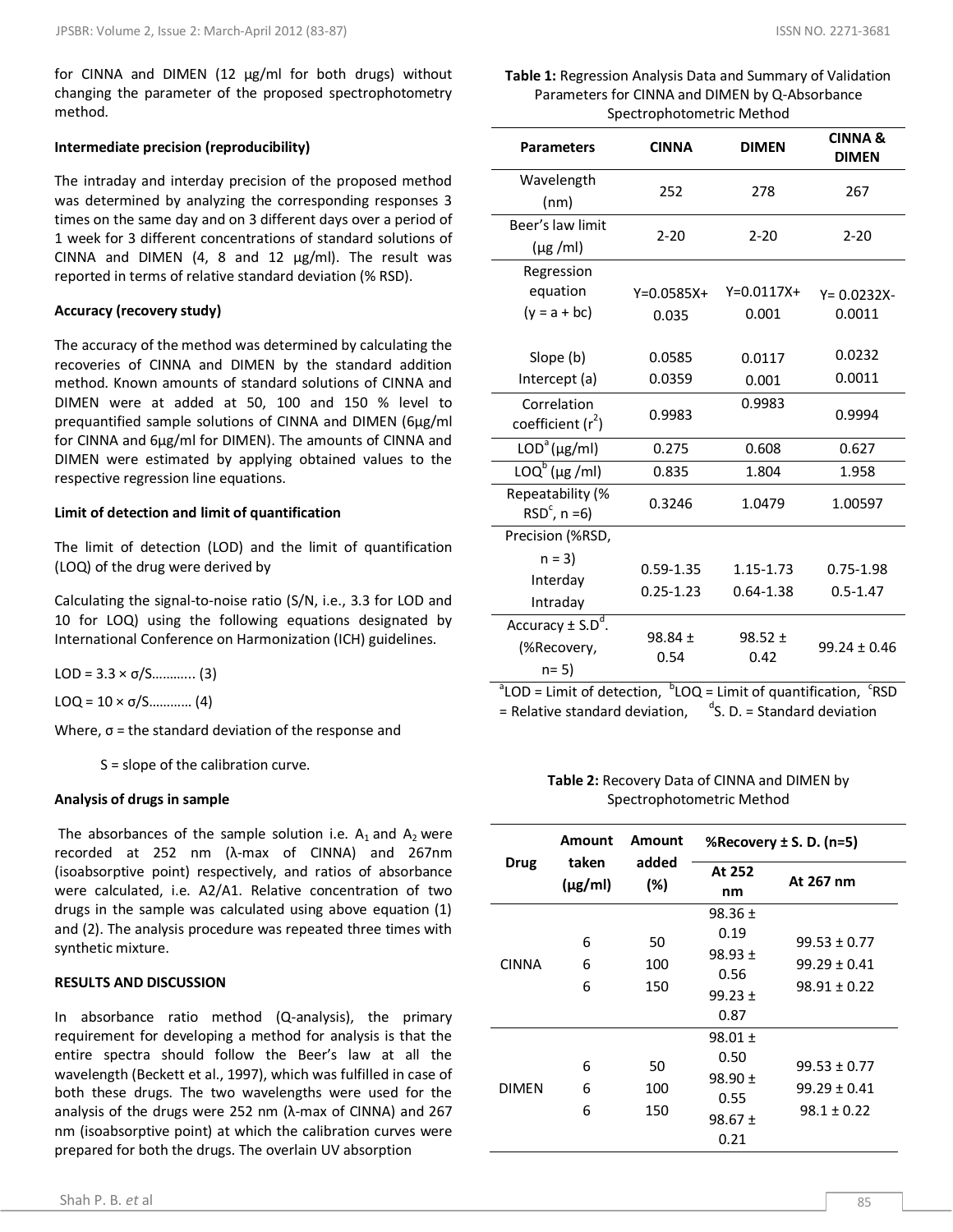for CINNA and DIMEN (12 μg/ml for both drugs) without changing the parameter of the proposed spectrophotometry method.

#### **Intermediate precision (reproducibility)**

The intraday and interday precision of the proposed method was determined by analyzing the corresponding responses 3 times on the same day and on 3 different days over a period of 1 week for 3 different concentrations of standard solutions of CINNA and DIMEN (4, 8 and 12 μg/ml). The result was reported in terms of relative standard deviation (% RSD).

#### **Accuracy (recovery study)**

The accuracy of the method was determined by calculating the recoveries of CINNA and DIMEN by the standard addition method. Known amounts of standard solutions of CINNA and DIMEN were at added at 50, 100 and 150 % level to prequantified sample solutions of CINNA and DIMEN (6μg/ml for CINNA and 6μg/ml for DIMEN). The amounts of CINNA and DIMEN were estimated by applying obtained values to the respective regression line equations.

#### **Limit of detection and limit of quantification**

The limit of detection (LOD) and the limit of quantification (LOQ) of the drug were derived by

Calculating the signal-to-noise ratio (S/N, i.e., 3.3 for LOD and 10 for LOQ) using the following equations designated by International Conference on Harmonization (ICH) guidelines.

LOD =  $3.3 \times \sigma/5$ ............. (3)

LOQ =  $10 \times \sigma/S$ ............. (4)

Where,  $\sigma$  = the standard deviation of the response and

S = slope of the calibration curve.

#### **Analysis of drugs in sample**

The absorbances of the sample solution i.e.  $A_1$  and  $A_2$  were recorded at 252 nm (λ-max of CINNA) and 267nm (isoabsorptive point) respectively, and ratios of absorbance were calculated, i.e. A2/A1. Relative concentration of two drugs in the sample was calculated using above equation (1) and (2). The analysis procedure was repeated three times with synthetic mixture.

#### **RESULTS AND DISCUSSION**

In absorbance ratio method (Q-analysis), the primary requirement for developing a method for analysis is that the entire spectra should follow the Beer's law at all the wavelength (Beckett et al., 1997), which was fulfilled in case of both these drugs. The two wavelengths were used for the analysis of the drugs were 252 nm (λ-max of CINNA) and 267 nm (isoabsorptive point) at which the calibration curves were prepared for both the drugs. The overlain UV absorption

# **Table 1:** Regression Analysis Data and Summary of Validation Parameters for CINNA and DIMEN by Q-Absorbance Spectrophotometric Method

| <b>Parameters</b>                          | <b>CINNA</b>     | <b>DIMEN</b>  | <b>CINNA &amp;</b><br><b>DIMEN</b> |  |
|--------------------------------------------|------------------|---------------|------------------------------------|--|
| Wavelength                                 | 252              |               | 267                                |  |
| (nm)                                       |                  |               |                                    |  |
| Beer's law limit                           | $2 - 20$         |               | $2 - 20$                           |  |
| $(\mu g$ /ml)                              |                  | $2 - 20$      |                                    |  |
| Regression                                 |                  |               |                                    |  |
| equation                                   | $Y=0.0585X+$     | $Y=0.0117X+$  | $Y = 0.0232X -$                    |  |
| $(y = a + bc)$                             | 0.035            | 0.001         | 0.0011                             |  |
|                                            |                  |               |                                    |  |
| Slope (b)                                  | 0.0585           | 0.0117        | 0.0232                             |  |
| Intercept (a)                              | 0.0359           | 0.001         | 0.0011                             |  |
| Correlation                                | 0.9983<br>0.9983 |               | 0.9994                             |  |
| coefficient $(r^2)$                        |                  |               |                                    |  |
| $LODa(\mu g/ml)$                           | 0.275            | 0.608         | 0.627                              |  |
| $\overline{\text{LOQ}^b(\mu g\text{/ml})}$ | 0.835            | 1.804         | 1.958                              |  |
| Repeatability (%                           | 0.3246           | 1.0479        | 1.00597                            |  |
| $RSDc$ , n =6)                             |                  |               |                                    |  |
| Precision (%RSD,                           |                  |               |                                    |  |
| $n = 3$                                    | $0.59 - 1.35$    | 1.15-1.73     | 0.75-1.98                          |  |
| Interday                                   | $0.25 - 1.23$    | $0.64 - 1.38$ | $0.5 - 1.47$                       |  |
| Intraday                                   |                  |               |                                    |  |
| Accuracy $\pm$ S.D <sup>d</sup> .          | $98.84 \pm$      | $98.52 \pm$   |                                    |  |
| (%Recovery,                                | 0.54<br>0.42     |               | $99.24 \pm 0.46$                   |  |
| $n = 5$                                    |                  |               |                                    |  |

 $a^2$ LOD = Limit of detection,  $b^D$ LOQ = Limit of quantification,  $c^T$ RSD  $=$  Relative standard deviation,  $\mathrm{d}$ S. D. = Standard deviation

# **Table 2:** Recovery Data of CINNA and DIMEN by Spectrophotometric Method

|              | Amount                                | Amount           | %Recovery $\pm$ S. D. (n=5)                                       |                                                          |  |
|--------------|---------------------------------------|------------------|-------------------------------------------------------------------|----------------------------------------------------------|--|
| <b>Drug</b>  | taken<br>added<br>$(\mu g/ml)$<br>(%) |                  | At 252<br>nm                                                      | At 267 nm                                                |  |
| <b>CINNA</b> | 6<br>6<br>6                           | 50<br>100<br>150 | $98.36 \pm$<br>0.19<br>$98.93 \pm$<br>0.56<br>$99.23 \pm$<br>0.87 | $99.53 \pm 0.77$<br>$99.29 \pm 0.41$<br>$98.91 \pm 0.22$ |  |
| <b>DIMEN</b> | 6<br>6<br>6                           | 50<br>100<br>150 | $98.01 \pm$<br>0.50<br>$98.90 \pm$<br>0.55<br>$98.67 \pm$<br>0.21 | $99.53 \pm 0.77$<br>$99.29 \pm 0.41$<br>$98.1 \pm 0.22$  |  |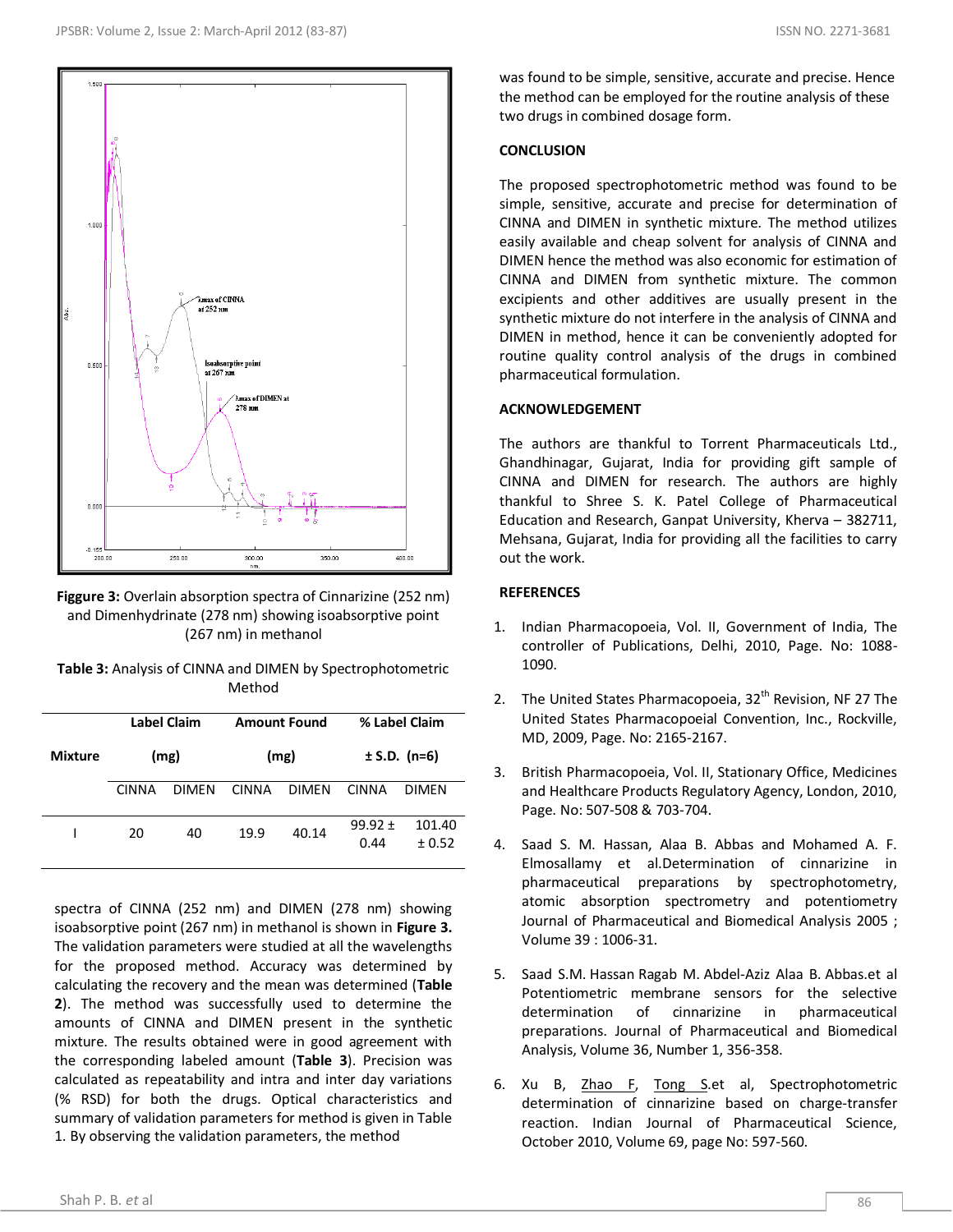

**Figgure 3:** Overlain absorption spectra of Cinnarizine (252 nm) and Dimenhydrinate (278 nm) showing isoabsorptive point (267 nm) in methanol

| <b>Table 3:</b> Analysis of CINNA and DIMEN by Spectrophotometric |
|-------------------------------------------------------------------|
| Method                                                            |

|                |       | Label Claim  |              | <b>Amount Found</b> |                     | % Label Claim     |
|----------------|-------|--------------|--------------|---------------------|---------------------|-------------------|
| <b>Mixture</b> | (mg)  |              | (mg)         |                     | $±$ S.D. (n=6)      |                   |
|                | CINNA | <b>DIMEN</b> | <b>CINNA</b> | <b>DIMEN</b>        | CINNA               | DIMEN             |
|                | 20    | 40           | 19.9         | 40.14               | $99.92 \pm$<br>0.44 | 101.40<br>$+0.52$ |

spectra of CINNA (252 nm) and DIMEN (278 nm) showing isoabsorptive point (267 nm) in methanol is shown in **Figure 3.** The validation parameters were studied at all the wavelengths for the proposed method. Accuracy was determined by calculating the recovery and the mean was determined (**Table 2**). The method was successfully used to determine the amounts of CINNA and DIMEN present in the synthetic mixture. The results obtained were in good agreement with the corresponding labeled amount (**Table 3**). Precision was calculated as repeatability and intra and inter day variations (% RSD) for both the drugs. Optical characteristics and summary of validation parameters for method is given in Table 1. By observing the validation parameters, the method

was found to be simple, sensitive, accurate and precise. Hence the method can be employed for the routine analysis of these two drugs in combined dosage form.

# **CONCLUSION**

The proposed spectrophotometric method was found to be simple, sensitive, accurate and precise for determination of CINNA and DIMEN in synthetic mixture. The method utilizes easily available and cheap solvent for analysis of CINNA and DIMEN hence the method was also economic for estimation of CINNA and DIMEN from synthetic mixture. The common excipients and other additives are usually present in the synthetic mixture do not interfere in the analysis of CINNA and DIMEN in method, hence it can be conveniently adopted for routine quality control analysis of the drugs in combined pharmaceutical formulation.

# **ACKNOWLEDGEMENT**

The authors are thankful to Torrent Pharmaceuticals Ltd., Ghandhinagar, Gujarat, India for providing gift sample of CINNA and DIMEN for research. The authors are highly thankful to Shree S. K. Patel College of Pharmaceutical Education and Research, Ganpat University, Kherva – 382711, Mehsana, Gujarat, India for providing all the facilities to carry out the work.

# **REFERENCES**

- 1. Indian Pharmacopoeia, Vol. ΙΙ, Government of India, The controller of Publications, Delhi, 2010, Page. No: 1088- 1090.
- 2. The United States Pharmacopoeia,  $32<sup>th</sup>$  Revision, NF 27 The United States Pharmacopoeial Convention, Inc., Rockville, MD, 2009, Page. No: 2165-2167.
- 3. British Pharmacopoeia, Vol. II, Stationary Office, Medicines and Healthcare Products Regulatory Agency, London, 2010, Page. No: 507-508 & 703-704.
- 4. Saad S. M. Hassan, Alaa B. Abbas and Mohamed A. F. Elmosallamy et al.Determination of cinnarizine in pharmaceutical preparations by spectrophotometry, atomic absorption spectrometry and potentiometry Journal of Pharmaceutical and Biomedical Analysis 2005 ; Volume 39 : 1006-31.
- 5. Saad S.M. Hassan Ragab M. Abdel-Aziz Alaa B. Abbas.et al Potentiometric membrane sensors for the selective determination of cinnarizine in pharmaceutical preparations. Journal of Pharmaceutical and Biomedical Analysis, Volume 36, Number 1, 356-358.
- 6. Xu B, [Zhao F,](http://www.ncbi.nlm.nih.gov/pubmed?term=%22Zhao%20F%22%5BAuthor%5D) Tong Set al, Spectrophotometric determination of cinnarizine based on charge-transfer reaction. Indian Journal of Pharmaceutical Science, October 2010, Volume 69, page No: 597-560.